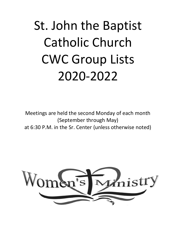# St. John the Baptist Catholic Church CWC Group Lists 2020-2022

Meetings are held the second Monday of each month (September through May) at 6:30 P.M. in the Sr. Center (unless otherwise noted)

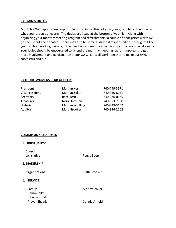### **CAPTAIN'S DUTIES**

Monthly CWC captains are responsible for calling all the ladies in your group to let them know what your group duties are. The duties are listed at the bottom of your list. Along with organizing your monthly meeting program and refreshments, a couple of door prizes worth \$2 - \$3 each should be donated. There may also be some additional responsibilities throughout the year, such as working dinners, if the need arises. An officer will notify you of any special events. Your ladies should be encouraged to attend the monthly meetings, as it is important to get more involvement and participation in our CWC. Let's all work together to make our CWC successful and fun!

## **CATHOLIC WOMENS CLUB OFFICERS**

| Marilyn Kern             | 740-749-3371 |
|--------------------------|--------------|
| Marilyn Zoller           | 740-350-8141 |
| Barb Kern                | 740-236-0535 |
| Nora Huffman             | 740-373-7080 |
| <b>Marilyn Schilling</b> | 740-749-3152 |
| Mary Brooker             | 740-896-2002 |
|                          |              |

### **COMMISSION CHAIRMEN**

| <b>1. SPIRITUALITY</b>                |                |
|---------------------------------------|----------------|
| Church<br>Legislative                 | Peggy Byers    |
| 2. LEADERSHIP                         |                |
| Organizational                        | Edith Brooker  |
| 3.<br><b>SERVICE</b>                  |                |
| Family<br>Community                   | Marilyn Zoller |
| International<br><b>Prayer Shawls</b> | Connie Arnold  |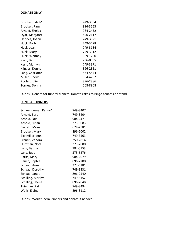## **DONATE ONLY**

| Brooker, Edith* | 749-3334 |
|-----------------|----------|
| Brooker, Pam    | 896-3553 |
| Arnold, Shelba  | 984-2432 |
| Dyar, Margaret  | 896-2117 |
| Hennes, Joann   | 749-3321 |
| Huck, Barb      | 749-3478 |
| Huck, Joan      | 749-3134 |
| Huck, Mary      | 749-3012 |
| Huck, Whitney   | 629-1250 |
| Kern, Barb      | 236-0535 |
| Kern, Marilyn   | 749-3371 |
| Klinger, Donna  | 896-2851 |
| Lang, Charlotte | 434-5474 |
| Miller, Cheryl  | 984-4787 |
| Pooler, Julie   | 896-2886 |
| Tornes, Donna   | 568-8808 |

Duties: Donate for funeral dinners. Donate cakes to Bingo concession stand.

# **FUNERAL DINNERS**

| Schwendeman Penny* | 749-3407 |
|--------------------|----------|
| Arnold, Barb       | 749-3404 |
| Arnold, Lois       | 984-2471 |
| Arnold, Susan      | 373-8083 |
| Barrett, Mona      | 678-2581 |
| Brooker, Mary      | 896-2002 |
| Eichmiller, Ann    | 749-3563 |
| Francis, Zandra    | 350-2814 |
| Huffman, Nora      | 373-7080 |
| Lang, Betina       | 984-0153 |
| Lang, Judy         | 373-5276 |
| Parks, Mary        | 984-2079 |
| Rauch, Sophia      | 896-2700 |
| Schaad, Anna       | 373-6181 |
| Schaad, Dorothy    | 749-3331 |
| Schaad, Janet      | 896-2540 |
| Schilling, Marilyn | 749-3152 |
| Schilling, Sheila  | 896-2048 |
| Thieman, Pat       | 749-3494 |
| Wells, Elaine      | 896-3112 |

Duties: Work funeral dinners and donate if needed.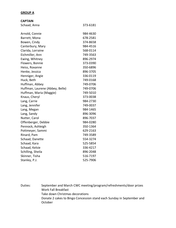#### **GROUP A**

| <b>CAPTAIN</b> |  |
|----------------|--|
|----------------|--|

| Schaad, Anna                    | 373-6181 |
|---------------------------------|----------|
|                                 |          |
| Arnold, Connie                  | 984-4630 |
| Barrett, Mona                   | 678-2581 |
| Bowen, Cindy                    | 374-8658 |
| Canterbury, Mary                | 984-4516 |
| Clarida, Lorraine               | 568-0114 |
| Eichmiller, Ann                 | 749-3563 |
| Ewing, Whitney                  | 896-2974 |
| Flowers, Bonnie                 | 373-0390 |
| Heiss, Roxanne                  | 350-6896 |
| Henke, Jessica                  | 896-3705 |
| Henniger, Angie                 | 336-0119 |
| Huck, Beth                      | 749-0168 |
| Huffman, Abbey                  | 749-0706 |
| Huffman, Laurene (Abbey, Belle) | 749-0706 |
| Huffman, Maria (Maggie)         | 749-5010 |
| Knaus, Cheryl                   | 373-0038 |
| Lang, Carrie                    | 984-2730 |
| Lang, Jennifer                  | 749-0037 |
| Lang, Megan                     | 984-1465 |
| Lang, Sandy                     | 896-3096 |
| Nutter, Carol                   | 896-7037 |
| Offenberger, Debbie             | 984-0280 |
| Pennock, Ashleigh               | 350-1364 |
| Pottmeyer, Sammi                | 629-2163 |
| Rinard, Pam                     | 749-3589 |
| Schaad, Danette                 | 554-3274 |
| Schaad, Kara                    | 525-5854 |
| Schaad, Kelsie                  | 336-4217 |
| Schilling, Sheila               | 896-2048 |
| Skinner, Tisha                  | 516-7197 |
| Stanley, P.J.                   | 525-7906 |

Duties: September and March CWC meeting/program/refreshments/door prizes Work Fall Breakfast Take down Christmas decorations Donate 2 cakes to Bingo Concession stand each Sunday in September and October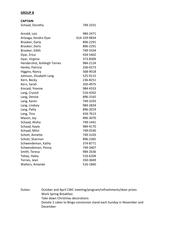#### **GROUP B**

| 749-3331<br>Arnold, Lois<br>984-2471<br>614-329-9834<br>Arteaga, Kendra Dyar<br>Brooker, Darla<br>896-2291<br>896-2291<br>Brooker, Doris<br>749-3334<br>Brooker, Edith<br>434-5402<br>Dyar, Erica<br>373-8309<br>Dyar, Virginia<br>Hendershot, Ashleigh Tornes<br>984-2124<br>Henke, Patricia<br>336-0273<br>Higgins, Nancy<br>568-9018<br>Johnson, Elizabeth Lang<br>525-9115<br>236-8251<br>Kern, Becky<br>Kern, Sarah<br>350-4975<br>Kincaid, Yvonne<br>984-4333<br>Lang, Crystal<br>516-4202<br>Lang, Denise<br>896-3165<br>749-3293<br>Lang, Karen<br>984-2834<br>Lang, Lindsey<br>896-2019<br>Lang, Patty<br>434-7613<br>Lang, Tina<br>896-3070<br>Mason, Joy<br>Schaad, Alisha<br>749-1441<br>Schaad, Kayla<br>984-4170<br>Schaad, Mitzi<br>749-0330<br>Schott, Annette<br>749-3103<br>Schott, Shannon<br>896-2365<br>Schwendeman, Kathy<br>374-8771<br>Schwendeman, Penny<br>749-3407<br>984-2636<br>Smith, Teresa<br>Tebay, Haley<br>516-6204<br>350-3669<br>516-1860 | <b>CAPTAIN</b>  |  |
|--------------------------------------------------------------------------------------------------------------------------------------------------------------------------------------------------------------------------------------------------------------------------------------------------------------------------------------------------------------------------------------------------------------------------------------------------------------------------------------------------------------------------------------------------------------------------------------------------------------------------------------------------------------------------------------------------------------------------------------------------------------------------------------------------------------------------------------------------------------------------------------------------------------------------------------------------------------------------------|-----------------|--|
|                                                                                                                                                                                                                                                                                                                                                                                                                                                                                                                                                                                                                                                                                                                                                                                                                                                                                                                                                                                | Schaad, Dorothy |  |
|                                                                                                                                                                                                                                                                                                                                                                                                                                                                                                                                                                                                                                                                                                                                                                                                                                                                                                                                                                                |                 |  |
|                                                                                                                                                                                                                                                                                                                                                                                                                                                                                                                                                                                                                                                                                                                                                                                                                                                                                                                                                                                |                 |  |
|                                                                                                                                                                                                                                                                                                                                                                                                                                                                                                                                                                                                                                                                                                                                                                                                                                                                                                                                                                                |                 |  |
|                                                                                                                                                                                                                                                                                                                                                                                                                                                                                                                                                                                                                                                                                                                                                                                                                                                                                                                                                                                |                 |  |
|                                                                                                                                                                                                                                                                                                                                                                                                                                                                                                                                                                                                                                                                                                                                                                                                                                                                                                                                                                                |                 |  |
|                                                                                                                                                                                                                                                                                                                                                                                                                                                                                                                                                                                                                                                                                                                                                                                                                                                                                                                                                                                |                 |  |
|                                                                                                                                                                                                                                                                                                                                                                                                                                                                                                                                                                                                                                                                                                                                                                                                                                                                                                                                                                                |                 |  |
|                                                                                                                                                                                                                                                                                                                                                                                                                                                                                                                                                                                                                                                                                                                                                                                                                                                                                                                                                                                |                 |  |
|                                                                                                                                                                                                                                                                                                                                                                                                                                                                                                                                                                                                                                                                                                                                                                                                                                                                                                                                                                                |                 |  |
|                                                                                                                                                                                                                                                                                                                                                                                                                                                                                                                                                                                                                                                                                                                                                                                                                                                                                                                                                                                |                 |  |
|                                                                                                                                                                                                                                                                                                                                                                                                                                                                                                                                                                                                                                                                                                                                                                                                                                                                                                                                                                                |                 |  |
|                                                                                                                                                                                                                                                                                                                                                                                                                                                                                                                                                                                                                                                                                                                                                                                                                                                                                                                                                                                |                 |  |
|                                                                                                                                                                                                                                                                                                                                                                                                                                                                                                                                                                                                                                                                                                                                                                                                                                                                                                                                                                                |                 |  |
|                                                                                                                                                                                                                                                                                                                                                                                                                                                                                                                                                                                                                                                                                                                                                                                                                                                                                                                                                                                |                 |  |
|                                                                                                                                                                                                                                                                                                                                                                                                                                                                                                                                                                                                                                                                                                                                                                                                                                                                                                                                                                                |                 |  |
|                                                                                                                                                                                                                                                                                                                                                                                                                                                                                                                                                                                                                                                                                                                                                                                                                                                                                                                                                                                |                 |  |
|                                                                                                                                                                                                                                                                                                                                                                                                                                                                                                                                                                                                                                                                                                                                                                                                                                                                                                                                                                                |                 |  |
|                                                                                                                                                                                                                                                                                                                                                                                                                                                                                                                                                                                                                                                                                                                                                                                                                                                                                                                                                                                |                 |  |
|                                                                                                                                                                                                                                                                                                                                                                                                                                                                                                                                                                                                                                                                                                                                                                                                                                                                                                                                                                                |                 |  |
|                                                                                                                                                                                                                                                                                                                                                                                                                                                                                                                                                                                                                                                                                                                                                                                                                                                                                                                                                                                |                 |  |
|                                                                                                                                                                                                                                                                                                                                                                                                                                                                                                                                                                                                                                                                                                                                                                                                                                                                                                                                                                                |                 |  |
|                                                                                                                                                                                                                                                                                                                                                                                                                                                                                                                                                                                                                                                                                                                                                                                                                                                                                                                                                                                |                 |  |
|                                                                                                                                                                                                                                                                                                                                                                                                                                                                                                                                                                                                                                                                                                                                                                                                                                                                                                                                                                                |                 |  |
|                                                                                                                                                                                                                                                                                                                                                                                                                                                                                                                                                                                                                                                                                                                                                                                                                                                                                                                                                                                |                 |  |
|                                                                                                                                                                                                                                                                                                                                                                                                                                                                                                                                                                                                                                                                                                                                                                                                                                                                                                                                                                                |                 |  |
|                                                                                                                                                                                                                                                                                                                                                                                                                                                                                                                                                                                                                                                                                                                                                                                                                                                                                                                                                                                |                 |  |
|                                                                                                                                                                                                                                                                                                                                                                                                                                                                                                                                                                                                                                                                                                                                                                                                                                                                                                                                                                                |                 |  |
|                                                                                                                                                                                                                                                                                                                                                                                                                                                                                                                                                                                                                                                                                                                                                                                                                                                                                                                                                                                |                 |  |
|                                                                                                                                                                                                                                                                                                                                                                                                                                                                                                                                                                                                                                                                                                                                                                                                                                                                                                                                                                                |                 |  |
|                                                                                                                                                                                                                                                                                                                                                                                                                                                                                                                                                                                                                                                                                                                                                                                                                                                                                                                                                                                |                 |  |
|                                                                                                                                                                                                                                                                                                                                                                                                                                                                                                                                                                                                                                                                                                                                                                                                                                                                                                                                                                                | Tornes, Jean    |  |
|                                                                                                                                                                                                                                                                                                                                                                                                                                                                                                                                                                                                                                                                                                                                                                                                                                                                                                                                                                                | Walters, Amanda |  |

Duties: October and April CWC meeting/program/refreshments/door prizes Work Spring Breakfast Take down Christmas decorations Donate 2 cakes to Bingo concession stand each Sunday in November and December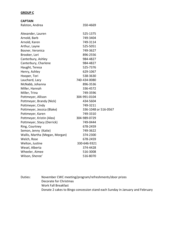## **GROUP C**

| <b>CAPTAIN</b>                 |                      |
|--------------------------------|----------------------|
| Ralston, Andrea                | 350-4669             |
| Alexander, Lauren              | 525-1375             |
| Arnold, Barb                   | 749-3404             |
| Arnold, Karen                  | 749-3114             |
| Arthur, Layne                  | 525-5051             |
| Bosner, Veronica               | 749-3627             |
| Brooker, Lori                  | 896-2556             |
| Canterbury, Ashley             | 984-4827             |
| Canterbury, Charlene           | 984-4827             |
| Haught, Teresa                 | 525-7376             |
| Henry, Ashley                  | 629-1067             |
| Hooper, Tori                   | 538-3630             |
| Lauchard, Lacy                 | 740-434-0080         |
| McNabb, Johanna                | 896-3536             |
| Miller, Hannah                 | 336-4572             |
| Miller, Trina                  | 749-3596             |
| Pottmeyer, Allison             | 304-991-0104         |
| Pottmeyer, Brandy (Nick)       | 434-5604             |
| Pottmeyer, Cindy               | 749-3211             |
| Pottmeyer, Jessica (Blake)     | 336-1048 or 516-0567 |
| Pottmeyer, Karen               | 749-3310             |
| Pottmeyer, Kristin (Alex)      | 304-989-0729         |
| Pottmeyer, Stacy (Derrick)     | 749-0444             |
| Ring, Courtney                 | 678-2459             |
| Semon, Jenny (Katie)           | 749-3622             |
| Wallis, Martha (Megan, Morgan) | 374-2300             |
| Welch, Rose                    | 678-2459             |
| Welton, Justine                | 330-646-9321         |
| Wesel, Alberta                 | 374-4428             |
| Wheeler, Aimee                 | 516-3008             |
| Wilson, Sheree'                | 516-8070             |

Duties: November CWC meeting/program/refreshments/door prizes Decorate for Christmas Work Fall Breakfast Donate 2 cakes to Bingo concession stand each Sunday in January and February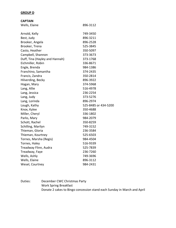## **GROUP D**

| <b>CAPTAIN</b>                 |                      |
|--------------------------------|----------------------|
| Wells, Elaine                  | 896-3112             |
| Arnold, Kelly                  | 749-3450             |
| Best, Judy                     | 896-3211             |
| Brooker, Angela                | 896-2528             |
| Brooker, Trena                 | 525-3845             |
| Casto, Heather                 | 350-5097             |
| Campbell, Shannon              | 373-3673             |
| Duff, Tina (Hayley and Hannah) | 373-1768             |
| Eichmiller, Robin              | 336-8671             |
| Engle, Brenda                  | 984-1386             |
| Franchino, Samantha            | 374-2435             |
| Francis, Zandra                | 350-2814             |
| Hilverding, Becky              | 896-3922             |
| Hogan, Mary                    | 374-5968             |
| Lang, Allie                    | 516-4978             |
| Lang, Jessica                  | 236-2254             |
| Lang, Judy                     | 373-5276             |
| Lang, Lorinda                  | 896-2974             |
| Lough, Kathy                   | 525-8485 or 434-5200 |
| Knox, Kylee                    | 350-4688             |
| Miller, Cheryl                 | 336-1802             |
| Parks, Mary                    | 984-2079             |
| Schott, Rachel                 | 350-8259             |
| Schilling, Marilyn             | 749-3152             |
| Thieman, Gloria                | 236-3584             |
| Thieman, Kourtney              | 525-6503             |
| Tornes, Marsha (Regis)         | 984-4504             |
| Tornes, Haley                  | 516-9339             |
| Treadway Flinn, Audra          | 525-7839             |
| Treadway, Faye                 | 236-7260             |
| Wells, Ashly                   | 749-3696             |
| Wells, Elaine                  | 896-3112             |
| Wesel, Courtney                | 984-2431             |

Duties: December CWC Christmas Party Work Spring Breakfast Donate 2 cakes to Bingo concession stand each Sunday in March and April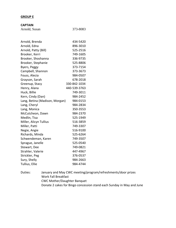#### **GROUP E**

| <b>CAPTAIN</b> |          |
|----------------|----------|
| Arnold, Susan  | 373-8083 |

| Arnold, Brenda                 | 434-5420     |
|--------------------------------|--------------|
| Arnold, Edna                   | 896-3010     |
| Arnold, Patty (Bill)           | 525-2516     |
| Brooker, Kerri                 | 749-1605     |
| Brooker, Shoshanna             | 336-9735     |
| Brooker, Stephanie             | 525-8806     |
| Byers, Peggy                   | 373-7154     |
| Campbell, Shannon              | 373-3673     |
| Fouss, Alecia                  | 984-0507     |
| Grayson, Sarah                 | 678-2018     |
| Greenup, Stacy                 | 330-842-1034 |
| Henry, Alana                   | 440-539-3763 |
| Huck, Billie                   | 749-3011     |
| Kern, Cindy (Dan)              | 984-2452     |
| Lang, Betina (Madison, Morgan) | 984-0153     |
| Lang, Cheryl                   | 984-2834     |
| Lang, Monica                   | 350-3553     |
| McCutcheon, Dawn               | 984-2370     |
| Medlin, Tisa                   | 525-1949     |
| Miller, Alicyn Tullius         | 516-3859     |
| Miller, Patti                  | 749-3307     |
| Negie, Angie                   | 516-9100     |
| Richards, Minda                | 525-6264     |
| Schwendeman, Karen             | 749-3507     |
| Sprague, Janelle               | 525-0540     |
| Stewart, Dee                   | 749-0821     |
| Strahler, Valerie              | 447-4967     |
| Strickler, Peg                 | 376-0537     |
| Sury, Shelly                   | 984-2663     |
| Tullius, Ellie                 | 984-4744     |

Duties: January and May CWC meeting/program/refreshments/door prizes Work Fall Breakfast CWC Mother/Daughter Banquet Donate 2 cakes for Bingo concession stand each Sunday in May and June